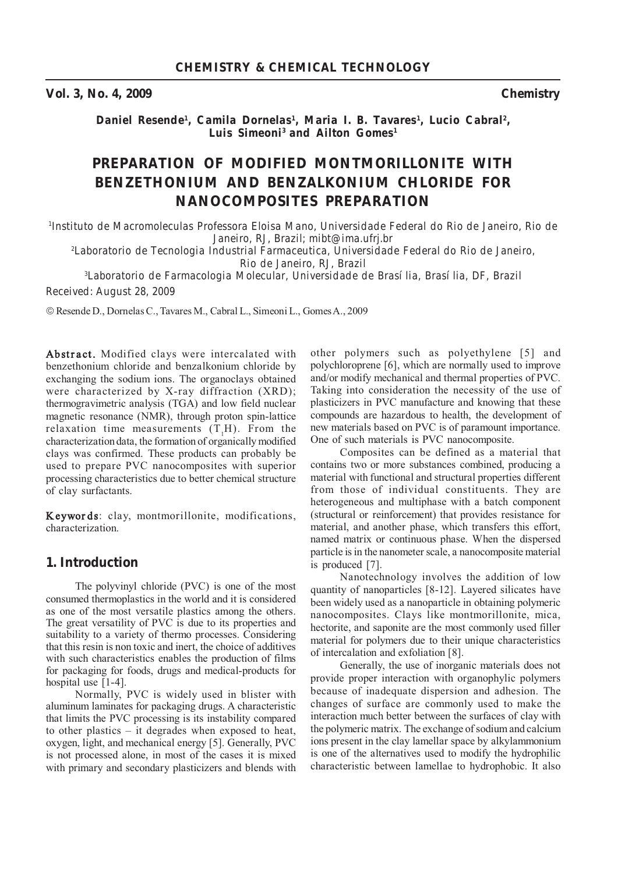**Vol. 3, No. 4, 2009 Chemistry**

*Daniel Resende1 , Camila Dornelas1 , Maria I. B. Tavares1 , Lucio Cabral2, Luis Simeoni3 and Ailton Gomes1*

# **PREPARATION OF MODIFIED MONTMORILLONITE WITH BENZETHONIUM AND BENZALKONIUM CHLORIDE FOR NANOCOMPOSITES PREPARATION**

*1 Instituto de Macromoleculas Professora Eloisa Mano, Universidade Federal do Rio de Janeiro, Rio de Janeiro, RJ, Brazil; mibt@ima.ufrj.br*

*2 Laboratorio de Tecnologia Industrial Farmaceutica, Universidade Federal do Rio de Janeiro, Rio de Janeiro, RJ, Brazil*

*3 Laboratorio de Farmacologia Molecular, Universidade de Brasília, Brasília, DF, Brazil Received: August 28, 2009*

© Resende D., Dornelas C., Tavares M., Cabral L., Simeoni L., GomesA., 2009

Abstract. Modified clays were intercalated with benzethonium chloride and benzalkonium chloride by exchanging the sodium ions. The organoclays obtained were characterized by X-ray diffraction (XRD); thermogravimetric analysis (TGA) and low field nuclear magnetic resonance (NMR), through proton spin-lattice relaxation time measurements  $(T_1H)$ . From the characterization data, the formation of organically modified clays was confirmed. These products can probably be used to prepare PVC nanocomposites with superior processing characteristics due to better chemical structure of clay surfactants.

**Keywor ds**: clay, montmorillonite, modifications, characterization.

## **1. Introduction**

The polyvinyl chloride (PVC) is one of the most consumed thermoplastics in the world and it is considered as one of the most versatile plastics among the others. The great versatility of PVC is due to its properties and suitability to a variety of thermo processes. Considering that this resin is non toxic and inert, the choice of additives with such characteristics enables the production of films for packaging for foods, drugs and medical-products for hospital use [1-4].

Normally, PVC is widely used in blister with aluminum laminates for packaging drugs. A characteristic that limits the PVC processing is its instability compared to other plastics – it degrades when exposed to heat, oxygen, light, and mechanical energy [5]. Generally, PVC is not processed alone, in most of the cases it is mixed with primary and secondary plasticizers and blends with

other polymers such as polyethylene [5] and polychloroprene [6], which are normally used to improve and/or modify mechanical and thermal properties of PVC. Taking into consideration the necessity of the use of plasticizers in PVC manufacture and knowing that these compounds are hazardous to health, the development of new materials based on PVC is of paramount importance. One of such materials is PVC nanocomposite.

Composites can be defined as a material that contains two or more substances combined, producing a material with functional and structural properties different from those of individual constituents. They are heterogeneous and multiphase with a batch component (structural or reinforcement) that provides resistance for material, and another phase, which transfers this effort, named matrix or continuous phase. When the dispersed particle is in the nanometer scale, a nanocomposite material is produced [7].

Nanotechnology involves the addition of low quantity of nanoparticles [8-12]. Layered silicates have been widely used as a nanoparticle in obtaining polymeric nanocomposites. Clays like montmorillonite, mica, hectorite, and saponite are the most commonly used filler material for polymers due to their unique characteristics of intercalation and exfoliation [8].

Generally, the use of inorganic materials does not provide proper interaction with organophylic polymers because of inadequate dispersion and adhesion. The changes of surface are commonly used to make the interaction much better between the surfaces of clay with the polymeric matrix. The exchange of sodium and calcium ions present in the clay lamellar space by alkylammonium is one of the alternatives used to modify the hydrophilic characteristic between lamellae to hydrophobic. It also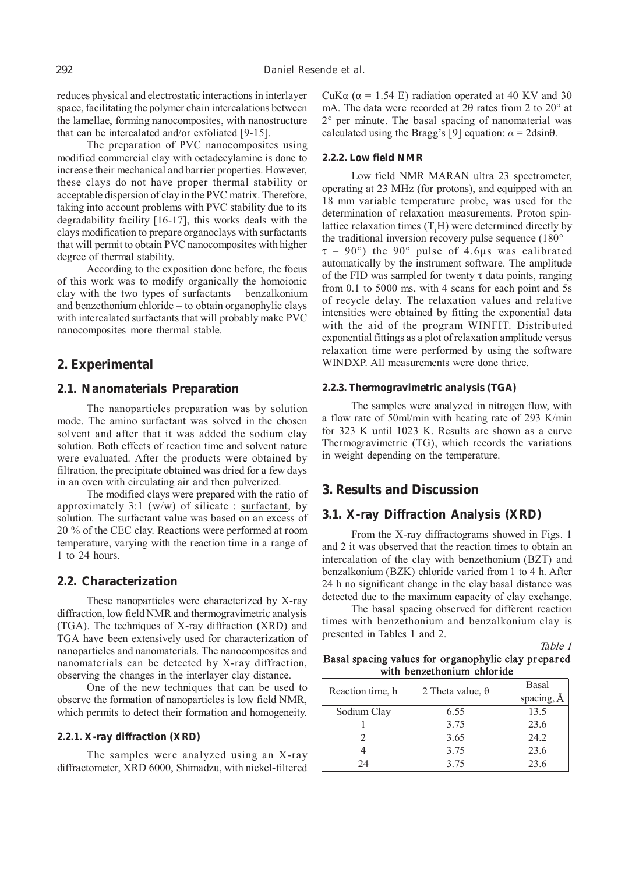reduces physical and electrostatic interactions in interlayer space, facilitating the polymer chain intercalations between the lamellae, forming nanocomposites, with nanostructure that can be intercalated and/or exfoliated [9-15].

The preparation of PVC nanocomposites using modified commercial clay with octadecylamine is done to increase their mechanical and barrier properties. However, these clays do not have proper thermal stability or acceptable dispersion of clay in the PVC matrix. Therefore, taking into account problems with PVC stability due to its degradability facility [16-17], this works deals with the clays modification to prepare organoclays with surfactants that will permit to obtain PVC nanocomposites with higher degree of thermal stability.

According to the exposition done before, the focus of this work was to modify organically the homoionic clay with the two types of surfactants – benzalkonium and benzethonium chloride – to obtain organophylic clays with intercalated surfactants that will probably make PVC nanocomposites more thermal stable.

## **2. Experimental**

### **2.1. Nanomaterials Preparation**

The nanoparticles preparation was by solution mode. The amino surfactant was solved in the chosen solvent and after that it was added the sodium clay solution. Both effects of reaction time and solvent nature were evaluated. After the products were obtained by filtration, the precipitate obtained was dried for a few days in an oven with circulating air and then pulverized.

The modified clays were prepared with the ratio of approximately 3:1 (w/w) of silicate : surfactant, by solution. The surfactant value was based on an excess of 20 % of the CEC clay. Reactions were performed at room temperature, varying with the reaction time in a range of 1 to 24 hours.

### **2.2. Characterization**

These nanoparticles were characterized by X-ray diffraction, low field NMR and thermogravimetric analysis (TGA). The techniques of X-ray diffraction (XRD) and TGA have been extensively used for characterization of nanoparticles and nanomaterials. The nanocomposites and nanomaterials can be detected by X-ray diffraction, observing the changes in the interlayer clay distance.

One of the new techniques that can be used to observe the formation of nanoparticles is low field NMR, which permits to detect their formation and homogeneity.

### **2.2.1. X-ray diffraction (XRD)**

The samples were analyzed using an X-ray diffractometer, XRD 6000, Shimadzu, with nickel-filtered

CuK $\alpha$  ( $\alpha$  = 1.54 E) radiation operated at 40 KV and 30 mA. The data were recorded at 2θ rates from 2 to 20° at 2° per minute. The basal spacing of nanomaterial was calculated using the Bragg's [9] equation:  $\alpha = 2$ dsin $\theta$ .

#### **2.2.2. Low field NMR**

Low field NMR MARAN ultra 23 spectrometer, operating at 23 MHz (for protons), and equipped with an 18 mm variable temperature probe, was used for the determination of relaxation measurements. Proton spinlattice relaxation times  $(T<sub>1</sub>H)$  were determined directly by the traditional inversion recovery pulse sequence (180° –  $\tau$  – 90°) the 90° pulse of 4.6µs was calibrated automatically by the instrument software. The amplitude of the FID was sampled for twenty  $\tau$  data points, ranging from 0.1 to 5000 ms, with 4 scans for each point and 5s of recycle delay. The relaxation values and relative intensities were obtained by fitting the exponential data with the aid of the program WINFIT. Distributed exponential fittings as a plot of relaxation amplitude versus relaxation time were performed by using the software WINDXP. All measurements were done thrice.

#### **2.2.3. Thermogravimetric analysis (TGA)**

The samples were analyzed in nitrogen flow, with a flow rate of 50ml/min with heating rate of 293 K/min for 323 K until 1023 K. Results are shown as a curve Thermogravimetric (TG), which records the variations in weight depending on the temperature.

## **3. Results and Discussion**

## **3.1. X-ray Diffraction Analysis (XRD)**

From the X-ray diffractograms showed in Figs. 1 and 2 it was observed that the reaction times to obtain an intercalation of the clay with benzethonium (BZT) and benzalkonium (BZK) chloride varied from 1 to 4 h. After 24 h no significant change in the clay basal distance was detected due to the maximum capacity of clay exchange.

The basal spacing observed for different reaction times with benzethonium and benzalkonium clay is presented in Tables 1 and 2.

### Table 1 **Basal spacing values for organophylic clay pr epar ed with benzethonium chloride**

| Reaction time, h            | 2 Theta value, $\theta$ | <b>Basal</b><br>spacing, $A$ |  |  |
|-----------------------------|-------------------------|------------------------------|--|--|
| Sodium Clay                 | 6.55                    | 13.5                         |  |  |
|                             | 3.75                    | 23.6                         |  |  |
| $\mathcal{D}_{\mathcal{L}}$ | 3.65                    | 24.2                         |  |  |
|                             | 3.75                    | 23.6                         |  |  |
| 24                          | 3.75                    | 23.6                         |  |  |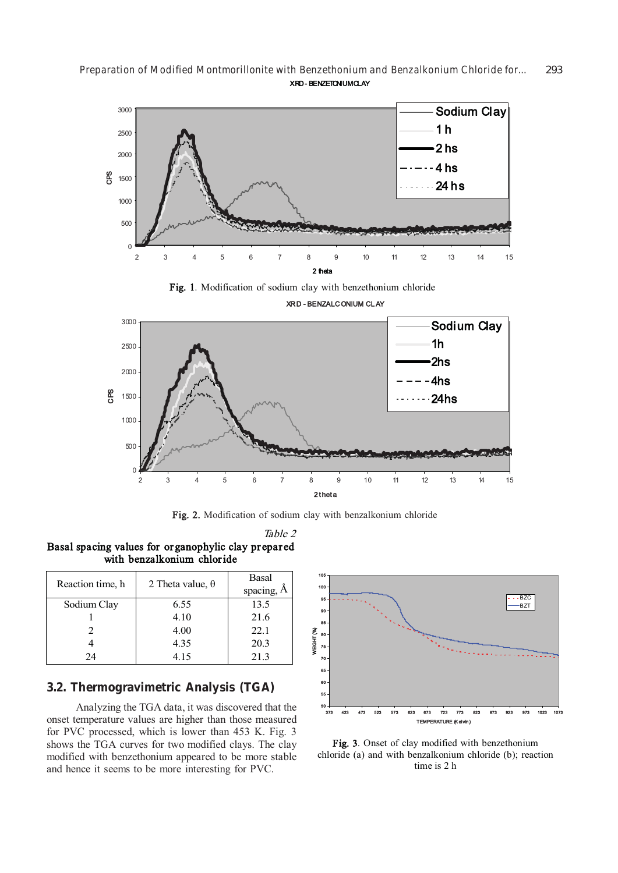*Preparation of Modified Montmorillonite with Benzethonium and Benzalkonium Chloride for...* 293 **XRD- BENZETONIUMCLAY**



**Fig. 1**. Modification of sodium clay with benzethonium chloride



**Fig. 2.** Modification of sodium clay with benzalkonium chloride

Table 2 **Basal spacing values for organophylic clay pr epar ed with benzalkonium chloride**

| Reaction time, h | 2 Theta value, $\theta$ | Basal<br>spacing, A |
|------------------|-------------------------|---------------------|
| Sodium Clay      | 6.55                    | 13.5                |
|                  | 4.10                    | 21.6                |
|                  | 4.00                    | 22.1                |
|                  | 4.35                    | 20.3                |
| 24               | 4.15                    | 21.3                |

## **3.2. Thermogravimetric Analysis (TGA)**

Analyzing the TGA data, it was discovered that the onset temperature values are higher than those measured for PVC processed, which is lower than 453 K. Fig. 3 shows the TGA curves for two modified clays. The clay modified with benzethonium appeared to be more stable and hence it seems to be more interesting for PVC.



**Fig. 3**. Onset of clay modified with benzethonium chloride (a) and with benzalkonium chloride (b); reaction time is 2 h